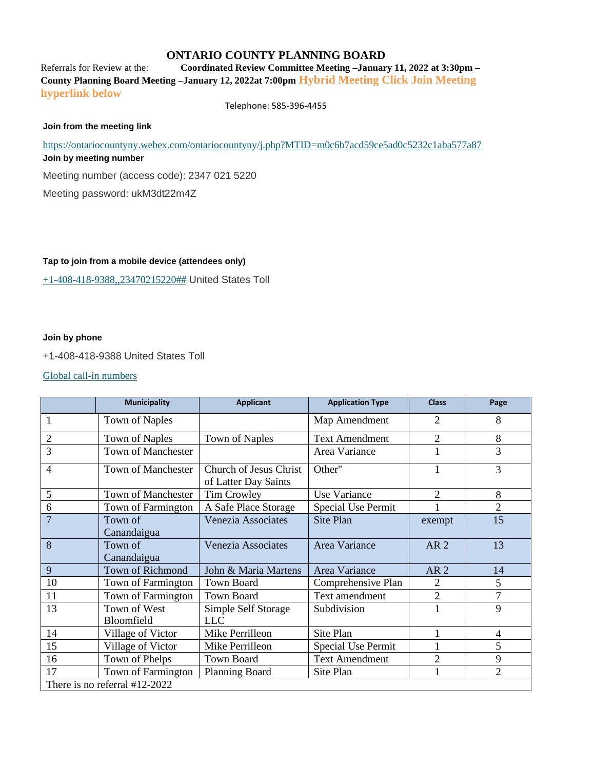### **ONTARIO COUNTY PLANNING BOARD**

Referrals for Review at the: **Coordinated Review Committee Meeting –January 11, 2022 at 3:30pm – County Planning Board Meeting –January 12, 2022at 7:00pm Hybrid Meeting Click Join Meeting hyperlink below**

Telephone: 585-396-4455

#### **Join from the meeting link**

<https://ontariocountyny.webex.com/ontariocountyny/j.php?MTID=m0c6b7acd59ce5ad0c5232c1aba577a87> **Join by meeting number**  Meeting number (access code): 2347 021 5220

Meeting password: ukM3dt22m4Z

#### **Tap to join from a mobile device (attendees only)**

[+1-408-418-9388,,23470215220##](tel:%2B1-408-418-9388,,*01*23470215220%23%23*01*) United States Toll

#### **Join by phone**

+1-408-418-9388 United States Toll

#### [Global call-in numbers](https://ontariocountyny.webex.com/ontariocountyny/globalcallin.php?MTID=m3398c5f74f1043713c4cd36d2deac8d3)

|                | <b>Municipality</b>             | <b>Applicant</b>                               | <b>Application Type</b>   | <b>Class</b>    | Page           |
|----------------|---------------------------------|------------------------------------------------|---------------------------|-----------------|----------------|
|                | <b>Town of Naples</b>           |                                                | Map Amendment             | $\overline{2}$  | 8              |
| $\overline{2}$ | Town of Naples                  | <b>Town of Naples</b>                          | <b>Text Amendment</b>     | $\overline{2}$  | 8              |
| $\overline{3}$ | <b>Town of Manchester</b>       |                                                | Area Variance             | 1               | 3              |
| $\overline{4}$ | Town of Manchester              | Church of Jesus Christ<br>of Latter Day Saints | Other"                    | 1               | 3              |
| 5              | Town of Manchester              | <b>Tim Crowley</b>                             | Use Variance              | $\overline{2}$  | 8              |
| 6              | Town of Farmington              | A Safe Place Storage                           | <b>Special Use Permit</b> |                 | $\overline{2}$ |
| $\overline{7}$ | Town of<br>Canandaigua          | Venezia Associates                             | Site Plan                 | exempt          | 15             |
| 8              | Town of<br>Canandaigua          | Venezia Associates                             | Area Variance             | AR <sub>2</sub> | 13             |
| 9              | <b>Town of Richmond</b>         | John & Maria Martens                           | Area Variance             | AR <sub>2</sub> | 14             |
| 10             | Town of Farmington              | <b>Town Board</b>                              | Comprehensive Plan        | 2               | 5              |
| 11             | Town of Farmington              | <b>Town Board</b>                              | Text amendment            | $\overline{2}$  | 7              |
| 13             | Town of West<br>Bloomfield      | Simple Self Storage<br><b>LLC</b>              | Subdivision               | 1               | 9              |
| 14             |                                 | Mike Perrilleon                                | Site Plan                 | 1               | 4              |
|                | Village of Victor               |                                                |                           |                 |                |
| 15             | Village of Victor               | Mike Perrilleon                                | Special Use Permit        |                 | 5              |
| 16             | Town of Phelps                  | <b>Town Board</b>                              | <b>Text Amendment</b>     | $\overline{2}$  | 9              |
| 17             | Town of Farmington              | Planning Board                                 | Site Plan                 | $\mathbf{1}$    | $\overline{2}$ |
|                | There is no referral $#12-2022$ |                                                |                           |                 |                |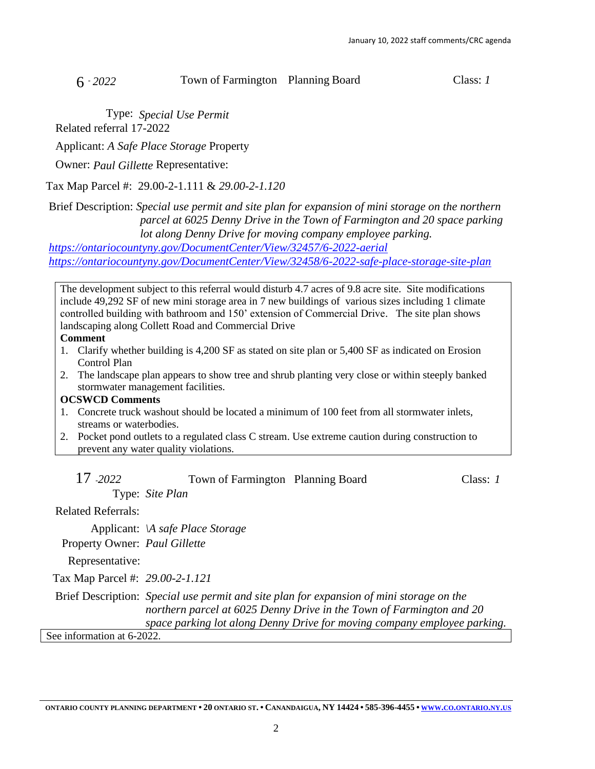# 6 - *2022* Town of Farmington Planning Board Class: *1*

Type: *Special Use Permit*

Related referral 17-2022

Applicant: *A Safe Place Storage* Property

Owner: *Paul Gillette* Representative:

Tax Map Parcel #: 29.00-2-1.111 & *29.00-2-1.120*

Brief Description: *Special use permit and site plan for expansion of mini storage on the northern parcel at 6025 Denny Drive in the Town of Farmington and 20 space parking lot along Denny Drive for moving company employee parking.*

*<https://ontariocountyny.gov/DocumentCenter/View/32457/6-2022-aerial> <https://ontariocountyny.gov/DocumentCenter/View/32458/6-2022-safe-place-storage-site-plan>*

The development subject to this referral would disturb 4.7 acres of 9.8 acre site. Site modifications include 49,292 SF of new mini storage area in 7 new buildings of various sizes including 1 climate controlled building with bathroom and 150' extension of Commercial Drive. The site plan shows landscaping along Collett Road and Commercial Drive

### **Comment**

- 1. Clarify whether building is 4,200 SF as stated on site plan or 5,400 SF as indicated on Erosion Control Plan
- 2. The landscape plan appears to show tree and shrub planting very close or within steeply banked stormwater management facilities.

#### **OCSWCD Comments**

- 1. Concrete truck washout should be located a minimum of 100 feet from all stormwater inlets, streams or waterbodies.
- 2. Pocket pond outlets to a regulated class C stream. Use extreme caution during construction to prevent any water quality violations.

| 17 - 2022                       | Town of Farmington Planning Board                                                                                                                                                                                                            |  | Class: <i>1</i> |
|---------------------------------|----------------------------------------------------------------------------------------------------------------------------------------------------------------------------------------------------------------------------------------------|--|-----------------|
|                                 | Type: Site Plan                                                                                                                                                                                                                              |  |                 |
| <b>Related Referrals:</b>       |                                                                                                                                                                                                                                              |  |                 |
|                                 | Applicant: \A safe Place Storage                                                                                                                                                                                                             |  |                 |
| Property Owner: Paul Gillette   |                                                                                                                                                                                                                                              |  |                 |
| Representative:                 |                                                                                                                                                                                                                                              |  |                 |
| Tax Map Parcel #: 29.00-2-1.121 |                                                                                                                                                                                                                                              |  |                 |
|                                 | Brief Description: Special use permit and site plan for expansion of mini storage on the<br>northern parcel at 6025 Denny Drive in the Town of Farmington and 20<br>space parking lot along Denny Drive for moving company employee parking. |  |                 |
| See information at 6-2022.      |                                                                                                                                                                                                                                              |  |                 |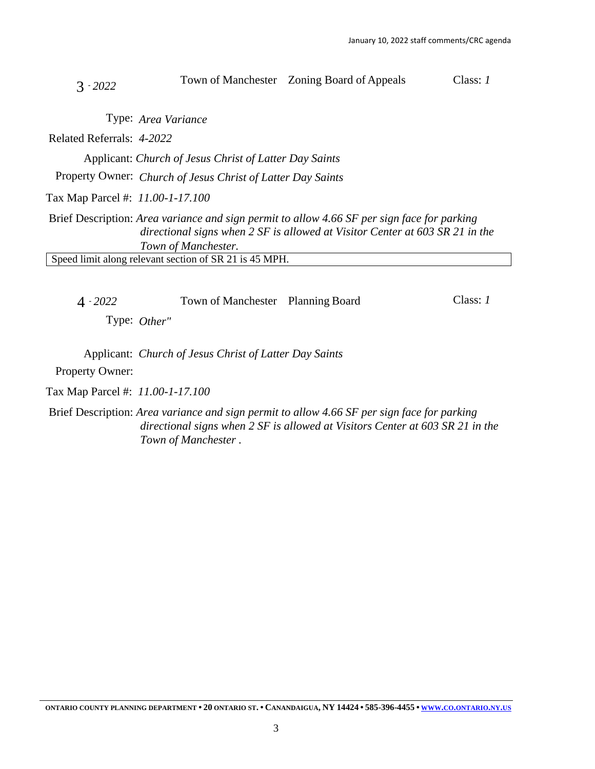| $3 - 2022$                       |                                                                                                                                                                                                    | Town of Manchester Zoning Board of Appeals | Class: 1 |
|----------------------------------|----------------------------------------------------------------------------------------------------------------------------------------------------------------------------------------------------|--------------------------------------------|----------|
|                                  | Type: Area Variance                                                                                                                                                                                |                                            |          |
| Related Referrals: 4-2022        |                                                                                                                                                                                                    |                                            |          |
|                                  | Applicant: Church of Jesus Christ of Latter Day Saints                                                                                                                                             |                                            |          |
|                                  | Property Owner: Church of Jesus Christ of Latter Day Saints                                                                                                                                        |                                            |          |
| Tax Map Parcel #: 11.00-1-17.100 |                                                                                                                                                                                                    |                                            |          |
|                                  | Brief Description: Area variance and sign permit to allow 4.66 SF per sign face for parking<br>directional signs when 2 SF is allowed at Visitor Center at 603 SR 21 in the<br>Town of Manchester. |                                            |          |
|                                  | Speed limit along relevant section of SR 21 is 45 MPH.                                                                                                                                             |                                            |          |
|                                  |                                                                                                                                                                                                    |                                            |          |

| $4 - 2022$      | Town of Manchester Planning Board | Class: 1 |
|-----------------|-----------------------------------|----------|
| Type: $Other''$ |                                   |          |
|                 |                                   |          |

Applicant: *Church of Jesus Christ of Latter Day Saints*

Property Owner:

Tax Map Parcel #: *11.00-1-17.100*

Brief Description: *Area variance and sign permit to allow 4.66 SF per sign face for parking directional signs when 2 SF is allowed at Visitors Center at 603 SR 21 in the Town of Manchester .*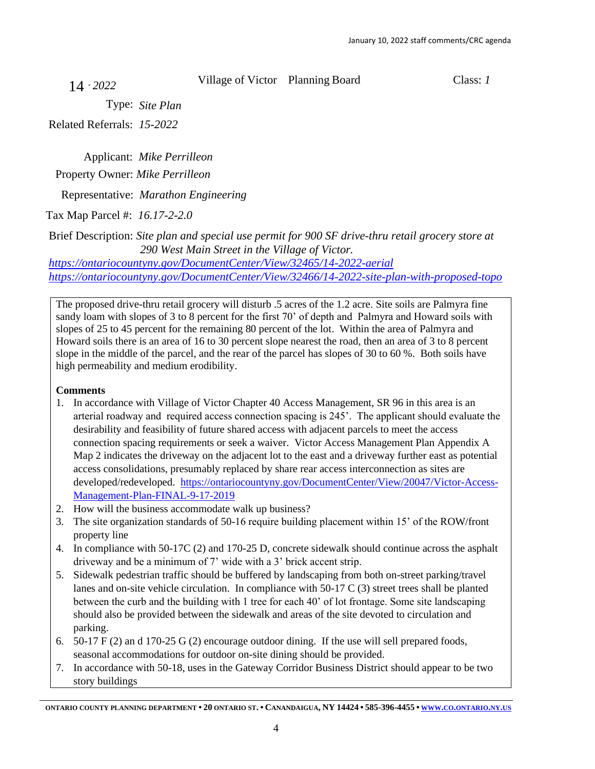14 - *2022*

Village of Victor Planning Board Class: *1*

Type: *Site Plan*

Related Referrals: *15-2022*

Applicant: *Mike Perrilleon* Property Owner: *Mike Perrilleon*

Representative: *Marathon Engineering*

Tax Map Parcel #: *16.17-2-2.0*

Brief Description: *Site plan and special use permit for 900 SF drive-thru retail grocery store at 290 West Main Street in the Village of Victor.*

*<https://ontariocountyny.gov/DocumentCenter/View/32465/14-2022-aerial> <https://ontariocountyny.gov/DocumentCenter/View/32466/14-2022-site-plan-with-proposed-topo>*

The proposed drive-thru retail grocery will disturb .5 acres of the 1.2 acre. Site soils are Palmyra fine sandy loam with slopes of 3 to 8 percent for the first 70' of depth and Palmyra and Howard soils with slopes of 25 to 45 percent for the remaining 80 percent of the lot. Within the area of Palmyra and Howard soils there is an area of 16 to 30 percent slope nearest the road, then an area of 3 to 8 percent slope in the middle of the parcel, and the rear of the parcel has slopes of 30 to 60 %. Both soils have high permeability and medium erodibility.

# **Comments**

- 1. In accordance with Village of Victor Chapter 40 Access Management, SR 96 in this area is an arterial roadway and required access connection spacing is 245'. The applicant should evaluate the desirability and feasibility of future shared access with adjacent parcels to meet the access connection spacing requirements or seek a waiver. Victor Access Management Plan Appendix A Map 2 indicates the driveway on the adjacent lot to the east and a driveway further east as potential access consolidations, presumably replaced by share rear access interconnection as sites are developed/redeveloped. [https://ontariocountyny.gov/DocumentCenter/View/20047/Victor-Access-](https://ontariocountyny.gov/DocumentCenter/View/20047/Victor-Access-Management-Plan-FINAL-9-17-2019)[Management-Plan-FINAL-9-17-2019](https://ontariocountyny.gov/DocumentCenter/View/20047/Victor-Access-Management-Plan-FINAL-9-17-2019)
- 2. How will the business accommodate walk up business?
- 3. The site organization standards of 50-16 require building placement within 15' of the ROW/front property line
- 4. In compliance with 50-17C (2) and 170-25 D, concrete sidewalk should continue across the asphalt driveway and be a minimum of 7' wide with a 3' brick accent strip.
- 5. Sidewalk pedestrian traffic should be buffered by landscaping from both on-street parking/travel lanes and on-site vehicle circulation. In compliance with 50-17 C (3) street trees shall be planted between the curb and the building with 1 tree for each 40' of lot frontage. Some site landscaping should also be provided between the sidewalk and areas of the site devoted to circulation and parking.
- 6. 50-17 F (2) an d 170-25 G (2) encourage outdoor dining. If the use will sell prepared foods, seasonal accommodations for outdoor on-site dining should be provided.
- 7. In accordance with 50-18, uses in the Gateway Corridor Business District should appear to be two story buildings

[ONTARIO](http://www.co.ontario.ny.us/) COUNTY PLANNING DEPARTMENT . 20 ONTARIO ST. . CANANDAIGUA, NY 14424 . 585-396-4455 . www.co.ontario.ny.us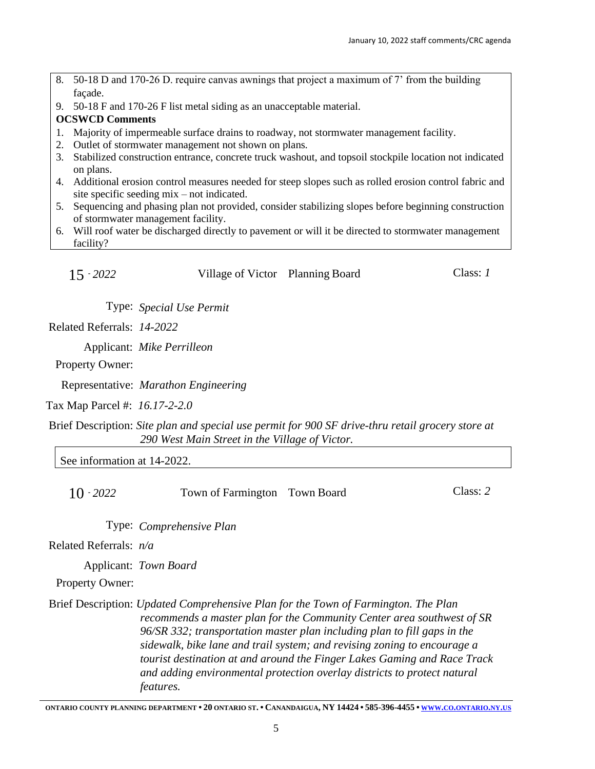- 8. 50-18 D and 170-26 D. require canvas awnings that project a maximum of 7' from the building façade.
- 9. 50-18 F and 170-26 F list metal siding as an unacceptable material.

#### **OCSWCD Comments**

- 1. Majority of impermeable surface drains to roadway, not stormwater management facility.
- 2. Outlet of stormwater management not shown on plans.
- 3. Stabilized construction entrance, concrete truck washout, and topsoil stockpile location not indicated on plans.
- 4. Additional erosion control measures needed for steep slopes such as rolled erosion control fabric and site specific seeding mix – not indicated.
- 5. Sequencing and phasing plan not provided, consider stabilizing slopes before beginning construction of stormwater management facility.
- 6. Will roof water be discharged directly to pavement or will it be directed to stormwater management facility?

| $15 - 2022$ | Village of Victor Planning Board |  | Class: $I$ |
|-------------|----------------------------------|--|------------|
|-------------|----------------------------------|--|------------|

Type: *Special Use Permit*

Related Referrals: *14-2022*

Applicant: *Mike Perrilleon*

Property Owner:

Representative: *Marathon Engineering*

Tax Map Parcel #: *16.17-2-2.0*

Brief Description: *Site plan and special use permit for 900 SF drive-thru retail grocery store at 290 West Main Street in the Village of Victor.*

See information at 14-2022.

10 - *2022* Town of Farmington Town Board Class: *2* Type: *Comprehensive Plan*

Related Referrals: *n/a*

Applicant: *Town Board*

Property Owner:

Brief Description: *Updated Comprehensive Plan for the Town of Farmington. The Plan recommends a master plan for the Community Center area southwest of SR 96/SR 332; transportation master plan including plan to fill gaps in the sidewalk, bike lane and trail system; and revising zoning to encourage a tourist destination at and around the Finger Lakes Gaming and Race Track and adding environmental protection overlay districts to protect natural features.*

[ONTARIO](http://www.co.ontario.ny.us/) COUNTY PLANNING DEPARTMENT . 20 ONTARIO ST. . CANANDAIGUA, NY 14424 . 585-396-4455 . www.co.ontario.ny.us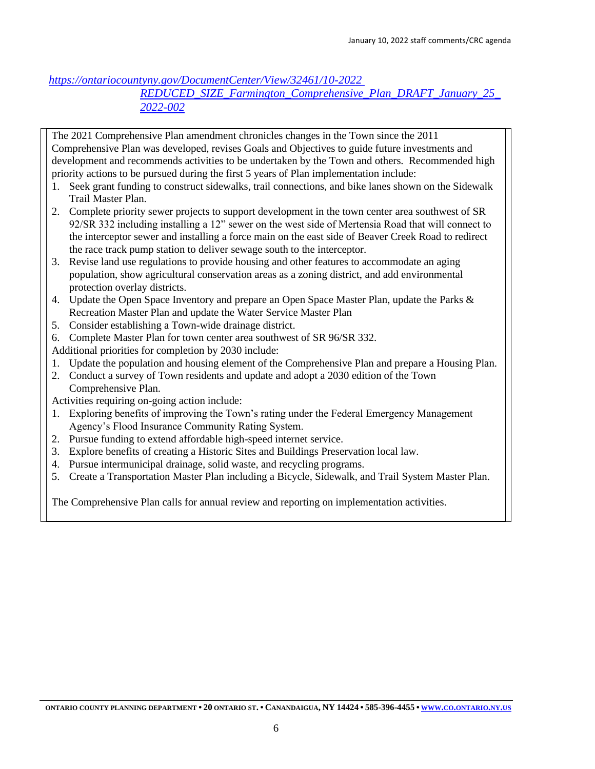*[https://ontariocountyny.gov/DocumentCenter/View/32461/10-2022](https://ontariocountyny.gov/DocumentCenter/View/32461/10-2022%20REDUCED_SIZE_Farmington_Comprehensive_Plan_DRAFT_January_25_2022-002)* 

*[REDUCED\\_SIZE\\_Farmington\\_Comprehensive\\_Plan\\_DRAFT\\_January\\_25\\_](https://ontariocountyny.gov/DocumentCenter/View/32461/10-2022%20REDUCED_SIZE_Farmington_Comprehensive_Plan_DRAFT_January_25_2022-002) [2022-002](https://ontariocountyny.gov/DocumentCenter/View/32461/10-2022%20REDUCED_SIZE_Farmington_Comprehensive_Plan_DRAFT_January_25_2022-002)*

The 2021 Comprehensive Plan amendment chronicles changes in the Town since the 2011 Comprehensive Plan was developed, revises Goals and Objectives to guide future investments and development and recommends activities to be undertaken by the Town and others. Recommended high priority actions to be pursued during the first 5 years of Plan implementation include:

- 1. Seek grant funding to construct sidewalks, trail connections, and bike lanes shown on the Sidewalk Trail Master Plan.
- 2. Complete priority sewer projects to support development in the town center area southwest of SR 92/SR 332 including installing a 12" sewer on the west side of Mertensia Road that will connect to the interceptor sewer and installing a force main on the east side of Beaver Creek Road to redirect the race track pump station to deliver sewage south to the interceptor.
- 3. Revise land use regulations to provide housing and other features to accommodate an aging population, show agricultural conservation areas as a zoning district, and add environmental protection overlay districts.
- 4. Update the Open Space Inventory and prepare an Open Space Master Plan, update the Parks & Recreation Master Plan and update the Water Service Master Plan
- 5. Consider establishing a Town-wide drainage district.
- 6. Complete Master Plan for town center area southwest of SR 96/SR 332.
- Additional priorities for completion by 2030 include:
- 1. Update the population and housing element of the Comprehensive Plan and prepare a Housing Plan.
- 2. Conduct a survey of Town residents and update and adopt a 2030 edition of the Town Comprehensive Plan.
- Activities requiring on-going action include:
- 1. Exploring benefits of improving the Town's rating under the Federal Emergency Management Agency's Flood Insurance Community Rating System.
- 2. Pursue funding to extend affordable high-speed internet service.
- 3. Explore benefits of creating a Historic Sites and Buildings Preservation local law.
- 4. Pursue intermunicipal drainage, solid waste, and recycling programs.
- 5. Create a Transportation Master Plan including a Bicycle, Sidewalk, and Trail System Master Plan.

The Comprehensive Plan calls for annual review and reporting on implementation activities.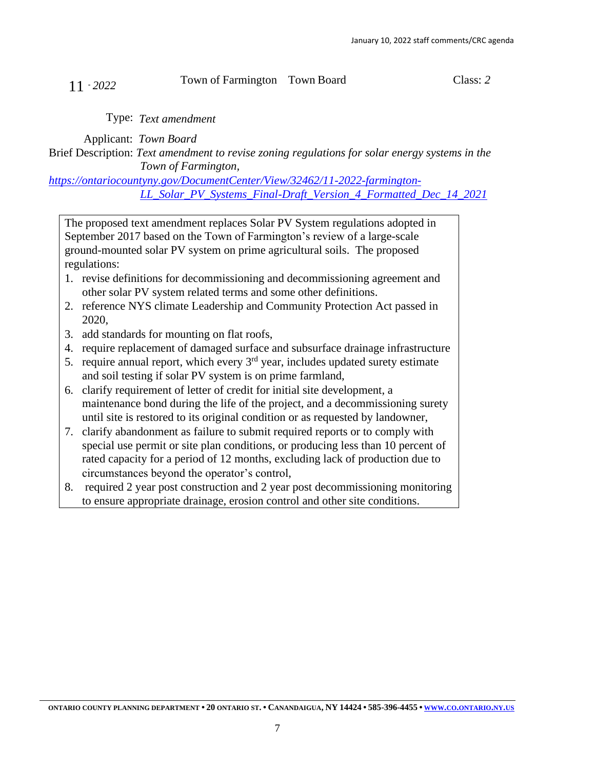# 11 - *<sup>2022</sup>* Town of Farmington Town Board Class: *<sup>2</sup>*

Type: *Text amendment*

Applicant: *Town Board*

Brief Description: *Text amendment to revise zoning regulations for solar energy systems in the Town of Farmington,* 

*[https://ontariocountyny.gov/DocumentCenter/View/32462/11-2022-farmington-](https://ontariocountyny.gov/DocumentCenter/View/32462/11-2022-farmington-LL_Solar_PV_Systems_Final-Draft_Version_4_Formatted_Dec_14_2021)[LL\\_Solar\\_PV\\_Systems\\_Final-Draft\\_Version\\_4\\_Formatted\\_Dec\\_14\\_2021](https://ontariocountyny.gov/DocumentCenter/View/32462/11-2022-farmington-LL_Solar_PV_Systems_Final-Draft_Version_4_Formatted_Dec_14_2021)*

The proposed text amendment replaces Solar PV System regulations adopted in September 2017 based on the Town of Farmington's review of a large-scale ground-mounted solar PV system on prime agricultural soils. The proposed regulations:

- 1. revise definitions for decommissioning and decommissioning agreement and other solar PV system related terms and some other definitions.
- 2. reference NYS climate Leadership and Community Protection Act passed in 2020,
- 3. add standards for mounting on flat roofs,
- 4. require replacement of damaged surface and subsurface drainage infrastructure
- 5. require annual report, which every  $3<sup>rd</sup>$  year, includes updated surety estimate and soil testing if solar PV system is on prime farmland,
- 6. clarify requirement of letter of credit for initial site development, a maintenance bond during the life of the project, and a decommissioning surety until site is restored to its original condition or as requested by landowner,
- 7. clarify abandonment as failure to submit required reports or to comply with special use permit or site plan conditions, or producing less than 10 percent of rated capacity for a period of 12 months, excluding lack of production due to circumstances beyond the operator's control,
- 8. required 2 year post construction and 2 year post decommissioning monitoring to ensure appropriate drainage, erosion control and other site conditions.

[ONTARIO](http://www.co.ontario.ny.us/) COUNTY PLANNING DEPARTMENT . 20 ONTARIO ST. . CANANDAIGUA, NY 14424 . 585-396-4455 . www.co.ontario.ny.us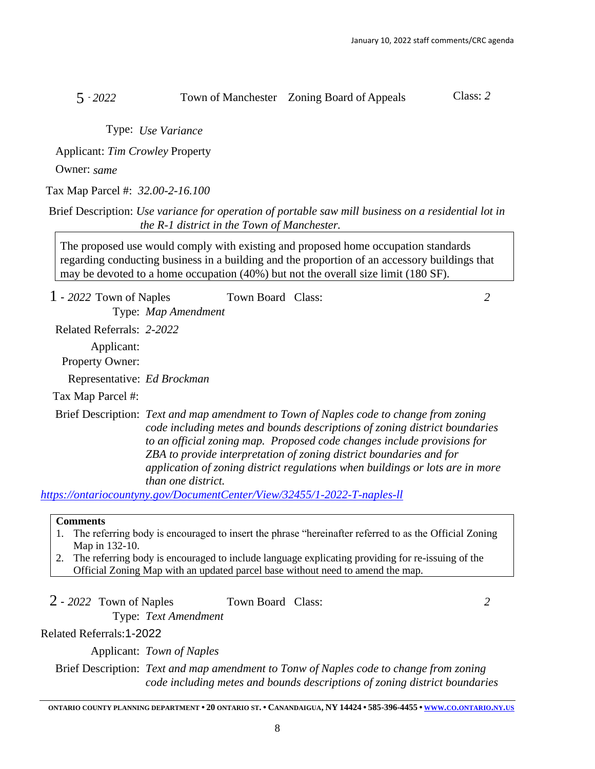# 5 - *2022* Town of Manchester Zoning Board of Appeals Class: *2*

Type: *Use Variance*

Applicant: *Tim Crowley* Property

Owner: *same* 

Tax Map Parcel #: *32.00-2-16.100*

Brief Description: *Use variance for operation of portable saw mill business on a residential lot in the R-1 district in the Town of Manchester.*

The proposed use would comply with existing and proposed home occupation standards regarding conducting business in a building and the proportion of an accessory buildings that may be devoted to a home occupation (40%) but not the overall size limit (180 SF).

| $1 - 2022$ Town of Naples            |                                                                                                                                                                                                                                                                                                                                                                                                                                                                                                           | Town Board Class: |                                                                                                       | 2 |
|--------------------------------------|-----------------------------------------------------------------------------------------------------------------------------------------------------------------------------------------------------------------------------------------------------------------------------------------------------------------------------------------------------------------------------------------------------------------------------------------------------------------------------------------------------------|-------------------|-------------------------------------------------------------------------------------------------------|---|
|                                      | Type: Map Amendment                                                                                                                                                                                                                                                                                                                                                                                                                                                                                       |                   |                                                                                                       |   |
| Related Referrals: 2-2022            |                                                                                                                                                                                                                                                                                                                                                                                                                                                                                                           |                   |                                                                                                       |   |
| Applicant:<br><b>Property Owner:</b> |                                                                                                                                                                                                                                                                                                                                                                                                                                                                                                           |                   |                                                                                                       |   |
| Representative: Ed Brockman          |                                                                                                                                                                                                                                                                                                                                                                                                                                                                                                           |                   |                                                                                                       |   |
| Tax Map Parcel #:                    |                                                                                                                                                                                                                                                                                                                                                                                                                                                                                                           |                   |                                                                                                       |   |
|                                      | Brief Description: Text and map amendment to Town of Naples code to change from zoning<br>code including metes and bounds descriptions of zoning district boundaries<br>to an official zoning map. Proposed code changes include provisions for<br>ZBA to provide interpretation of zoning district boundaries and for<br>application of zoning district regulations when buildings or lots are in more<br>than one district.<br>https://ontariocountyny.gov/DocumentCenter/View/32455/1-2022-T-naples-ll |                   |                                                                                                       |   |
|                                      |                                                                                                                                                                                                                                                                                                                                                                                                                                                                                                           |                   |                                                                                                       |   |
| <b>Comments</b>                      |                                                                                                                                                                                                                                                                                                                                                                                                                                                                                                           |                   | The referring body is encouraged to insert the phrase "hereinafter referred to as the Official Zoning |   |

- Map in 132-10.
- 2. The referring body is encouraged to include language explicating providing for re-issuing of the Official Zoning Map with an updated parcel base without need to amend the map.
- 2 *2022* Town of Naples Town Board Class: *2*

Related Referrals:1-2022

Applicant: *Town of Naples*

Type: *Text Amendment*

Brief Description: *Text and map amendment to Tonw of Naples code to change from zoning code including metes and bounds descriptions of zoning district boundaries*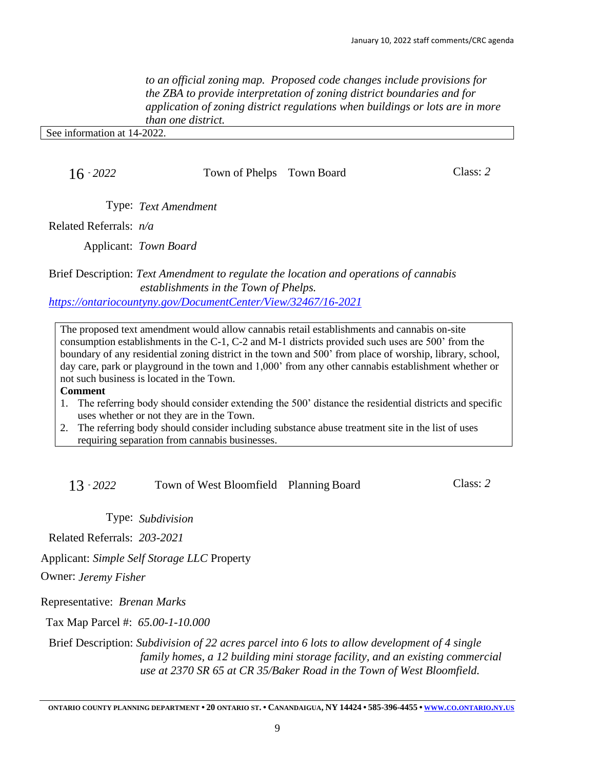*to an official zoning map. Proposed code changes include provisions for the ZBA to provide interpretation of zoning district boundaries and for application of zoning district regulations when buildings or lots are in more than one district.*

See information at 14-2022.

16 - *2022* Town of Phelps Town Board Class: *2*

Type: *Text Amendment*

Related Referrals: *n/a*

Applicant: *Town Board*

Brief Description: *Text Amendment to regulate the location and operations of cannabis establishments in the Town of Phelps. <https://ontariocountyny.gov/DocumentCenter/View/32467/16-2021>*

The proposed text amendment would allow cannabis retail establishments and cannabis on-site consumption establishments in the C-1, C-2 and M-1 districts provided such uses are 500' from the boundary of any residential zoning district in the town and 500' from place of worship, library, school, day care, park or playground in the town and 1,000' from any other cannabis establishment whether or not such business is located in the Town.

### **Comment**

- 1. The referring body should consider extending the 500' distance the residential districts and specific uses whether or not they are in the Town.
- 2. The referring body should consider including substance abuse treatment site in the list of uses requiring separation from cannabis businesses.

13 - *2022* Town of West Bloomfield Planning Board Class: *2*

Type: *Subdivision*

Related Referrals: *203-2021*

Applicant: *Simple Self Storage LLC* Property

Owner: *Jeremy Fisher* 

Representative: *Brenan Marks*

Tax Map Parcel #: *65.00-1-10.000*

Brief Description: *Subdivision of 22 acres parcel into 6 lots to allow development of 4 single family homes, a 12 building mini storage facility, and an existing commercial use at 2370 SR 65 at CR 35/Baker Road in the Town of West Bloomfield.*

[ONTARIO](http://www.co.ontario.ny.us/) COUNTY PLANNING DEPARTMENT . 20 ONTARIO ST. . CANANDAIGUA, NY 14424 . 585-396-4455 . www.co.ontario.ny.us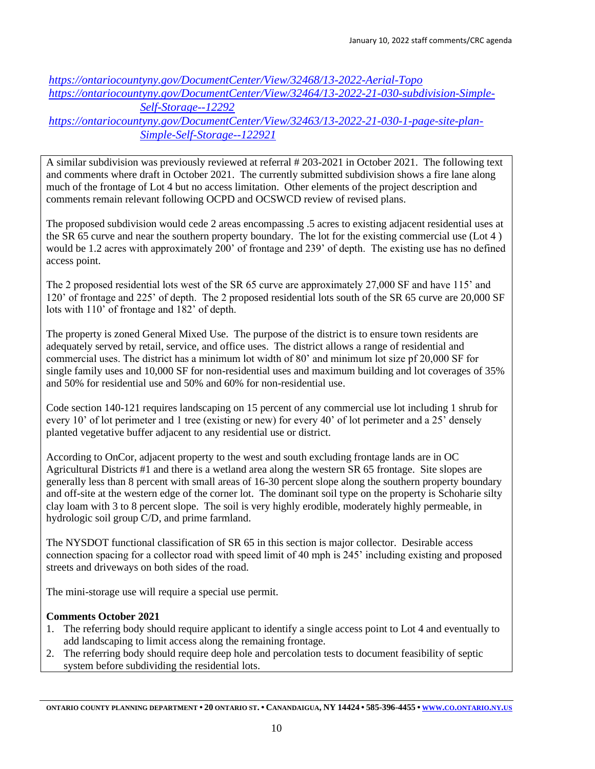*<https://ontariocountyny.gov/DocumentCenter/View/32468/13-2022-Aerial-Topo> [https://ontariocountyny.gov/DocumentCenter/View/32464/13-2022-21-030-subdivision-Simple-](https://ontariocountyny.gov/DocumentCenter/View/32464/13-2022-21-030-subdivision-Simple-Self-Storage--12292)[Self-Storage--12292](https://ontariocountyny.gov/DocumentCenter/View/32464/13-2022-21-030-subdivision-Simple-Self-Storage--12292) [https://ontariocountyny.gov/DocumentCenter/View/32463/13-2022-21-030-1-page-site-plan-](https://ontariocountyny.gov/DocumentCenter/View/32463/13-2022-21-030-1-page-site-plan-Simple-Self-Storage--122921)[Simple-Self-Storage--122921](https://ontariocountyny.gov/DocumentCenter/View/32463/13-2022-21-030-1-page-site-plan-Simple-Self-Storage--122921)*

A similar subdivision was previously reviewed at referral # 203-2021 in October 2021. The following text and comments where draft in October 2021. The currently submitted subdivision shows a fire lane along much of the frontage of Lot 4 but no access limitation. Other elements of the project description and comments remain relevant following OCPD and OCSWCD review of revised plans.

The proposed subdivision would cede 2 areas encompassing .5 acres to existing adjacent residential uses at the SR 65 curve and near the southern property boundary. The lot for the existing commercial use (Lot 4 ) would be 1.2 acres with approximately 200' of frontage and 239' of depth. The existing use has no defined access point.

The 2 proposed residential lots west of the SR 65 curve are approximately 27,000 SF and have 115' and 120' of frontage and 225' of depth. The 2 proposed residential lots south of the SR 65 curve are 20,000 SF lots with 110' of frontage and 182' of depth.

The property is zoned General Mixed Use. The purpose of the district is to ensure town residents are adequately served by retail, service, and office uses. The district allows a range of residential and commercial uses. The district has a minimum lot width of 80' and minimum lot size pf 20,000 SF for single family uses and 10,000 SF for non-residential uses and maximum building and lot coverages of 35% and 50% for residential use and 50% and 60% for non-residential use.

Code section 140-121 requires landscaping on 15 percent of any commercial use lot including 1 shrub for every 10' of lot perimeter and 1 tree (existing or new) for every 40' of lot perimeter and a 25' densely planted vegetative buffer adjacent to any residential use or district.

According to OnCor, adjacent property to the west and south excluding frontage lands are in OC Agricultural Districts #1 and there is a wetland area along the western SR 65 frontage. Site slopes are generally less than 8 percent with small areas of 16-30 percent slope along the southern property boundary and off-site at the western edge of the corner lot. The dominant soil type on the property is Schoharie silty clay loam with 3 to 8 percent slope. The soil is very highly erodible, moderately highly permeable, in hydrologic soil group C/D, and prime farmland.

The NYSDOT functional classification of SR 65 in this section is major collector. Desirable access connection spacing for a collector road with speed limit of 40 mph is 245' including existing and proposed streets and driveways on both sides of the road.

The mini-storage use will require a special use permit.

### **Comments October 2021**

- 1. The referring body should require applicant to identify a single access point to Lot 4 and eventually to add landscaping to limit access along the remaining frontage.
- 2. The referring body should require deep hole and percolation tests to document feasibility of septic system before subdividing the residential lots.

[ONTARIO](http://www.co.ontario.ny.us/) COUNTY PLANNING DEPARTMENT . 20 ONTARIO ST. . CANANDAIGUA, NY 14424 . 585-396-4455 . www.co.ontario.ny.us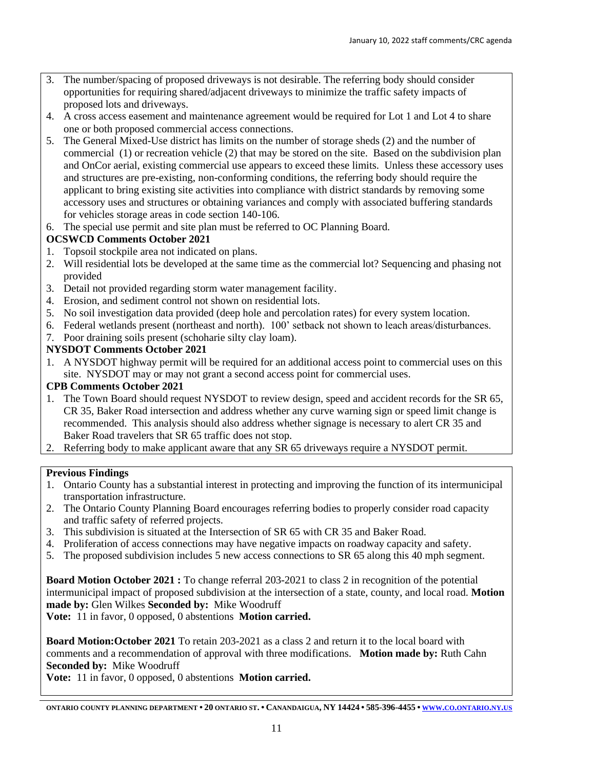- 3. The number/spacing of proposed driveways is not desirable. The referring body should consider opportunities for requiring shared/adjacent driveways to minimize the traffic safety impacts of proposed lots and driveways.
- 4. A cross access easement and maintenance agreement would be required for Lot 1 and Lot 4 to share one or both proposed commercial access connections.
- 5. The General Mixed-Use district has limits on the number of storage sheds (2) and the number of commercial (1) or recreation vehicle (2) that may be stored on the site. Based on the subdivision plan and OnCor aerial, existing commercial use appears to exceed these limits. Unless these accessory uses and structures are pre-existing, non-conforming conditions, the referring body should require the applicant to bring existing site activities into compliance with district standards by removing some accessory uses and structures or obtaining variances and comply with associated buffering standards for vehicles storage areas in code section 140-106.
- 6. The special use permit and site plan must be referred to OC Planning Board.

# **OCSWCD Comments October 2021**

- 1. Topsoil stockpile area not indicated on plans.
- 2. Will residential lots be developed at the same time as the commercial lot? Sequencing and phasing not provided
- 3. Detail not provided regarding storm water management facility.
- 4. Erosion, and sediment control not shown on residential lots.
- 5. No soil investigation data provided (deep hole and percolation rates) for every system location.
- 6. Federal wetlands present (northeast and north). 100' setback not shown to leach areas/disturbances.
- 7. Poor draining soils present (schoharie silty clay loam).

### **NYSDOT Comments October 2021**

1. A NYSDOT highway permit will be required for an additional access point to commercial uses on this site. NYSDOT may or may not grant a second access point for commercial uses.

#### **CPB Comments October 2021**

- 1. The Town Board should request NYSDOT to review design, speed and accident records for the SR 65, CR 35, Baker Road intersection and address whether any curve warning sign or speed limit change is recommended. This analysis should also address whether signage is necessary to alert CR 35 and Baker Road travelers that SR 65 traffic does not stop.
- 2. Referring body to make applicant aware that any SR 65 driveways require a NYSDOT permit.

#### **Previous Findings**

- 1. Ontario County has a substantial interest in protecting and improving the function of its intermunicipal transportation infrastructure.
- 2. The Ontario County Planning Board encourages referring bodies to properly consider road capacity and traffic safety of referred projects.
- 3. This subdivision is situated at the Intersection of SR 65 with CR 35 and Baker Road.
- 4. Proliferation of access connections may have negative impacts on roadway capacity and safety.
- 5. The proposed subdivision includes 5 new access connections to SR 65 along this 40 mph segment.

**Board Motion October 2021 :** To change referral 203-2021 to class 2 in recognition of the potential intermunicipal impact of proposed subdivision at the intersection of a state, county, and local road. **Motion made by:** Glen Wilkes **Seconded by:** Mike Woodruff **Vote:** 11 in favor, 0 opposed, 0 abstentions **Motion carried.**

**Board Motion:October 2021** To retain 203-2021 as a class 2 and return it to the local board with comments and a recommendation of approval with three modifications. **Motion made by:** Ruth Cahn **Seconded by:** Mike Woodruff

**Vote:** 11 in favor, 0 opposed, 0 abstentions **Motion carried.**

[ONTARIO](http://www.co.ontario.ny.us/) COUNTY PLANNING DEPARTMENT . 20 ONTARIO ST. . CANANDAIGUA, NY 14424 . 585-396-4455 . www.co.ontario.ny.us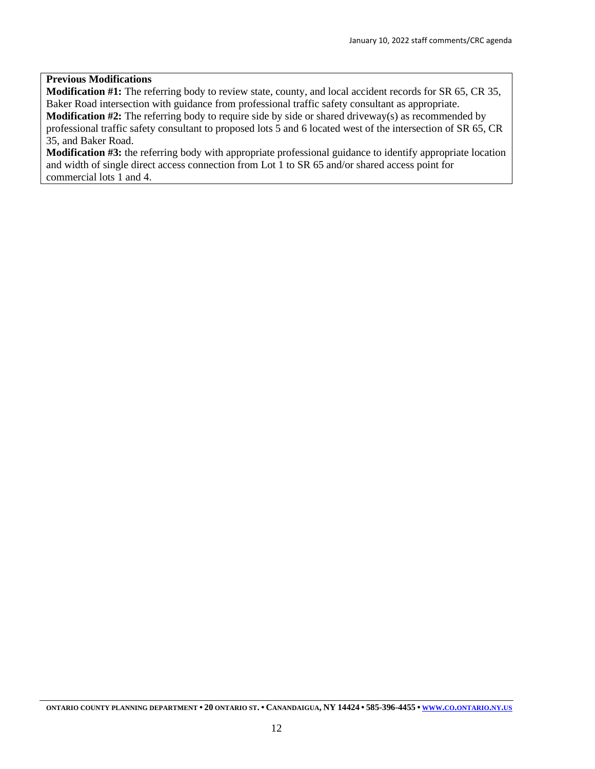#### **Previous Modifications**

**Modification #1:** The referring body to review state, county, and local accident records for SR 65, CR 35, Baker Road intersection with guidance from professional traffic safety consultant as appropriate. **Modification #2:** The referring body to require side by side or shared driveway(s) as recommended by professional traffic safety consultant to proposed lots 5 and 6 located west of the intersection of SR 65, CR

35, and Baker Road.

**Modification #3:** the referring body with appropriate professional guidance to identify appropriate location and width of single direct access connection from Lot 1 to SR 65 and/or shared access point for commercial lots 1 and 4.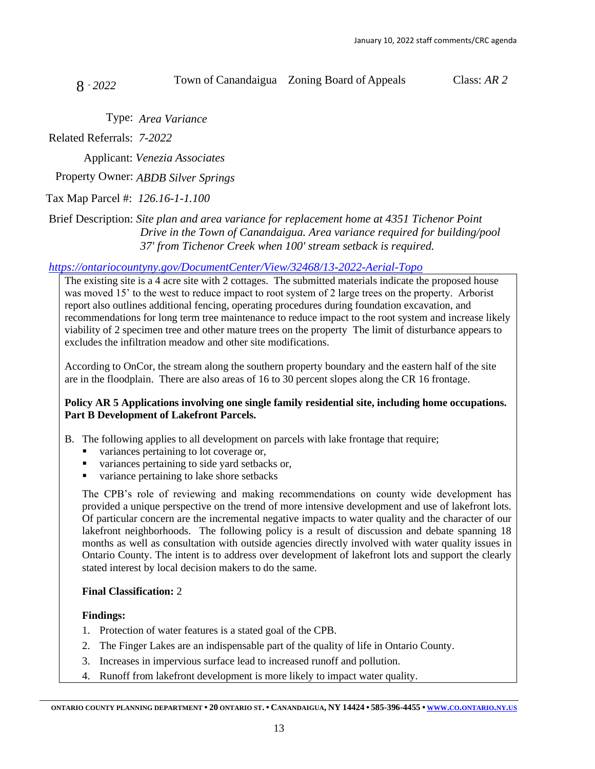8 - *<sup>2022</sup>* Town of Canandaigua Zoning Board of Appeals Class: *AR 2*

Type: *Area Variance*

Related Referrals: *7-2022*

Applicant: *Venezia Associates* 

Property Owner: *ABDB Silver Springs* 

Tax Map Parcel #: *126.16-1-1.100*

# Brief Description: *Site plan and area variance for replacement home at 4351 Tichenor Point Drive in the Town of Canandaigua. Area variance required for building/pool 37' from Tichenor Creek when 100' stream setback is required.*

# *<https://ontariocountyny.gov/DocumentCenter/View/32468/13-2022-Aerial-Topo>*

The existing site is a 4 acre site with 2 cottages. The submitted materials indicate the proposed house was moved 15' to the west to reduce impact to root system of 2 large trees on the property. Arborist report also outlines additional fencing, operating procedures during foundation excavation, and recommendations for long term tree maintenance to reduce impact to the root system and increase likely viability of 2 specimen tree and other mature trees on the property The limit of disturbance appears to excludes the infiltration meadow and other site modifications.

According to OnCor, the stream along the southern property boundary and the eastern half of the site are in the floodplain. There are also areas of 16 to 30 percent slopes along the CR 16 frontage.

# **Policy AR 5 Applications involving one single family residential site, including home occupations. Part B Development of Lakefront Parcels.**

B. The following applies to all development on parcels with lake frontage that require;

- variances pertaining to lot coverage or,
- variances pertaining to side yard setbacks or,
- variance pertaining to lake shore setbacks

The CPB's role of reviewing and making recommendations on county wide development has provided a unique perspective on the trend of more intensive development and use of lakefront lots. Of particular concern are the incremental negative impacts to water quality and the character of our lakefront neighborhoods. The following policy is a result of discussion and debate spanning 18 months as well as consultation with outside agencies directly involved with water quality issues in Ontario County. The intent is to address over development of lakefront lots and support the clearly stated interest by local decision makers to do the same.

# **Final Classification:** 2

# **Findings:**

- 1. Protection of water features is a stated goal of the CPB.
- 2. The Finger Lakes are an indispensable part of the quality of life in Ontario County.
- 3. Increases in impervious surface lead to increased runoff and pollution.
- 4. Runoff from lakefront development is more likely to impact water quality.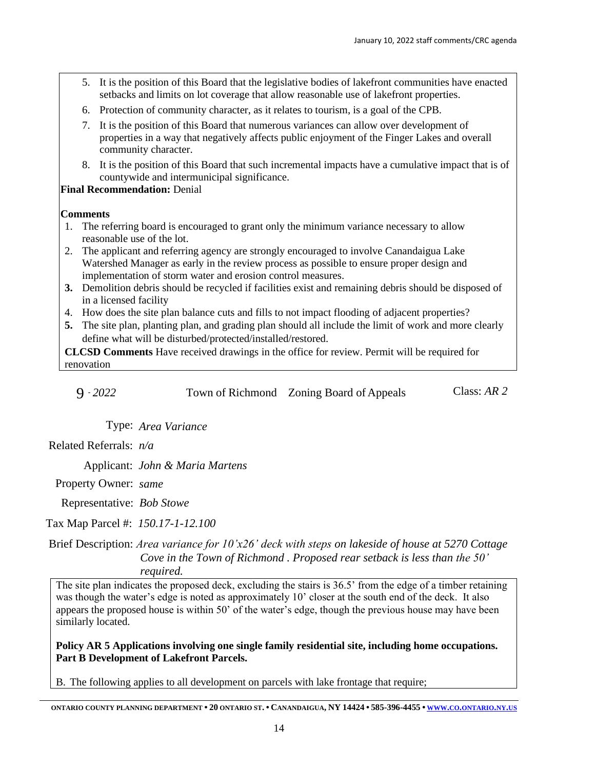- 5. It is the position of this Board that the legislative bodies of lakefront communities have enacted setbacks and limits on lot coverage that allow reasonable use of lakefront properties.
- 6. Protection of community character, as it relates to tourism, is a goal of the CPB.
- 7. It is the position of this Board that numerous variances can allow over development of properties in a way that negatively affects public enjoyment of the Finger Lakes and overall community character.
- 8. It is the position of this Board that such incremental impacts have a cumulative impact that is of countywide and intermunicipal significance.

# **Final Recommendation:** Denial

#### **Comments**

- 1. The referring board is encouraged to grant only the minimum variance necessary to allow reasonable use of the lot.
- 2. The applicant and referring agency are strongly encouraged to involve Canandaigua Lake Watershed Manager as early in the review process as possible to ensure proper design and implementation of storm water and erosion control measures.
- **3.** Demolition debris should be recycled if facilities exist and remaining debris should be disposed of in a licensed facility
- 4. How does the site plan balance cuts and fills to not impact flooding of adjacent properties?
- **5.** The site plan, planting plan, and grading plan should all include the limit of work and more clearly define what will be disturbed/protected/installed/restored.

**CLCSD Comments** Have received drawings in the office for review. Permit will be required for renovation

| $9 - 2022$ | Town of Richmond Zoning Board of Appeals | Class: $AR$ 2 |
|------------|------------------------------------------|---------------|
|------------|------------------------------------------|---------------|

Type: *Area Variance*

Related Referrals: *n/a*

Applicant: *John & Maria Martens*

Property Owner: *same*

Representative: *Bob Stowe*

Tax Map Parcel #: *150.17-1-12.100*

Brief Description: *Area variance for 10'x26' deck with steps on lakeside of house at 5270 Cottage Cove in the Town of Richmond . Proposed rear setback is less than the 50' required.*

The site plan indicates the proposed deck, excluding the stairs is 36.5' from the edge of a timber retaining was though the water's edge is noted as approximately 10' closer at the south end of the deck. It also appears the proposed house is within 50' of the water's edge, though the previous house may have been similarly located.

**Policy AR 5 Applications involving one single family residential site, including home occupations. Part B Development of Lakefront Parcels.** 

B. The following applies to all development on parcels with lake frontage that require;

ontario county planning department • 20 ontario st. • Canandaigua, NY 14424 • 585-396-4455 • www.co.ontario.ny.us